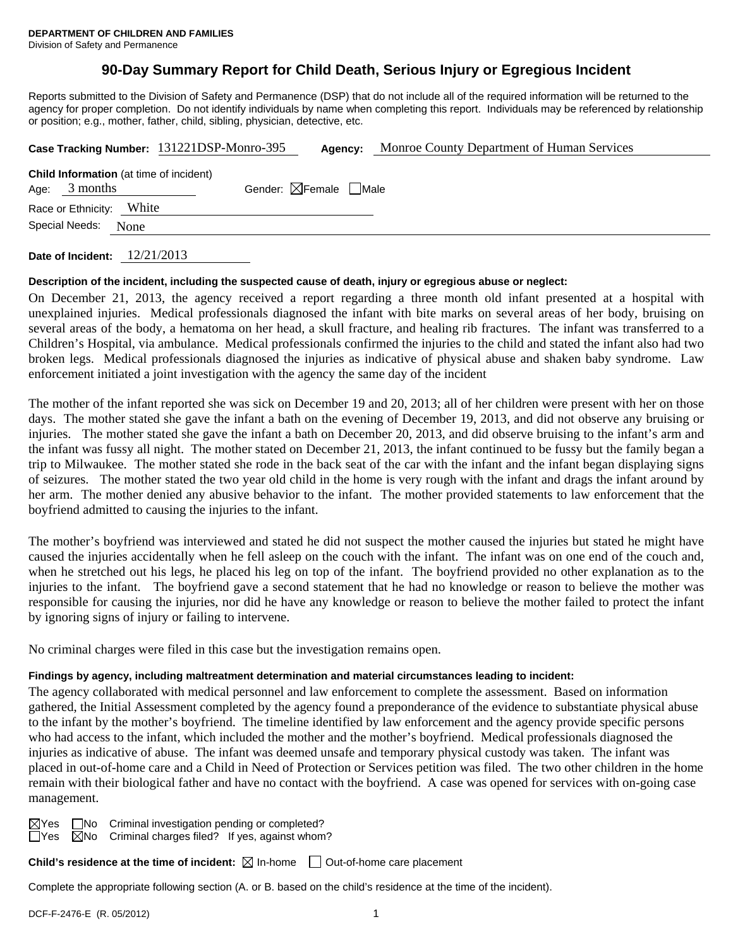## **90-Day Summary Report for Child Death, Serious Injury or Egregious Incident**

Reports submitted to the Division of Safety and Permanence (DSP) that do not include all of the required information will be returned to the agency for proper completion. Do not identify individuals by name when completing this report. Individuals may be referenced by relationship or position; e.g., mother, father, child, sibling, physician, detective, etc.

|                                                                   | Case Tracking Number: 131221DSP-Monro-395 | Agency:                                | Monroe County Department of Human Services |
|-------------------------------------------------------------------|-------------------------------------------|----------------------------------------|--------------------------------------------|
| <b>Child Information</b> (at time of incident)<br>Age: $3$ months |                                           | Gender: $\boxtimes$ Female $\Box$ Male |                                            |
| Race or Ethnicity: White                                          |                                           |                                        |                                            |
| Special Needs:<br>None                                            |                                           |                                        |                                            |
|                                                                   |                                           |                                        |                                            |

**Date of Incident:** 12/21/2013

#### **Description of the incident, including the suspected cause of death, injury or egregious abuse or neglect:**

On December 21, 2013, the agency received a report regarding a three month old infant presented at a hospital with unexplained injuries. Medical professionals diagnosed the infant with bite marks on several areas of her body, bruising on several areas of the body, a hematoma on her head, a skull fracture, and healing rib fractures. The infant was transferred to a Children's Hospital, via ambulance. Medical professionals confirmed the injuries to the child and stated the infant also had two broken legs. Medical professionals diagnosed the injuries as indicative of physical abuse and shaken baby syndrome. Law enforcement initiated a joint investigation with the agency the same day of the incident

The mother of the infant reported she was sick on December 19 and 20, 2013; all of her children were present with her on those days. The mother stated she gave the infant a bath on the evening of December 19, 2013, and did not observe any bruising or injuries. The mother stated she gave the infant a bath on December 20, 2013, and did observe bruising to the infant's arm and the infant was fussy all night. The mother stated on December 21, 2013, the infant continued to be fussy but the family began a trip to Milwaukee. The mother stated she rode in the back seat of the car with the infant and the infant began displaying signs of seizures. The mother stated the two year old child in the home is very rough with the infant and drags the infant around by her arm. The mother denied any abusive behavior to the infant. The mother provided statements to law enforcement that the boyfriend admitted to causing the injuries to the infant.

The mother's boyfriend was interviewed and stated he did not suspect the mother caused the injuries but stated he might have caused the injuries accidentally when he fell asleep on the couch with the infant. The infant was on one end of the couch and, when he stretched out his legs, he placed his leg on top of the infant. The boyfriend provided no other explanation as to the injuries to the infant. The boyfriend gave a second statement that he had no knowledge or reason to believe the mother was responsible for causing the injuries, nor did he have any knowledge or reason to believe the mother failed to protect the infant by ignoring signs of injury or failing to intervene.

No criminal charges were filed in this case but the investigation remains open.

## **Findings by agency, including maltreatment determination and material circumstances leading to incident:**

The agency collaborated with medical personnel and law enforcement to complete the assessment. Based on information gathered, the Initial Assessment completed by the agency found a preponderance of the evidence to substantiate physical abuse to the infant by the mother's boyfriend. The timeline identified by law enforcement and the agency provide specific persons who had access to the infant, which included the mother and the mother's boyfriend. Medical professionals diagnosed the injuries as indicative of abuse. The infant was deemed unsafe and temporary physical custody was taken. The infant was placed in out-of-home care and a Child in Need of Protection or Services petition was filed. The two other children in the home remain with their biological father and have no contact with the boyfriend. A case was opened for services with on-going case management.

 $\boxtimes$ Yes  $\Box$ No Criminal investigation pending or completed?  $\Box$ Yes  $\Box$ No Criminal charges filed? If yes, against whom?

**Child's residence at the time of incident:** ⊠ In-home □ Out-of-home care placement

Complete the appropriate following section (A. or B. based on the child's residence at the time of the incident).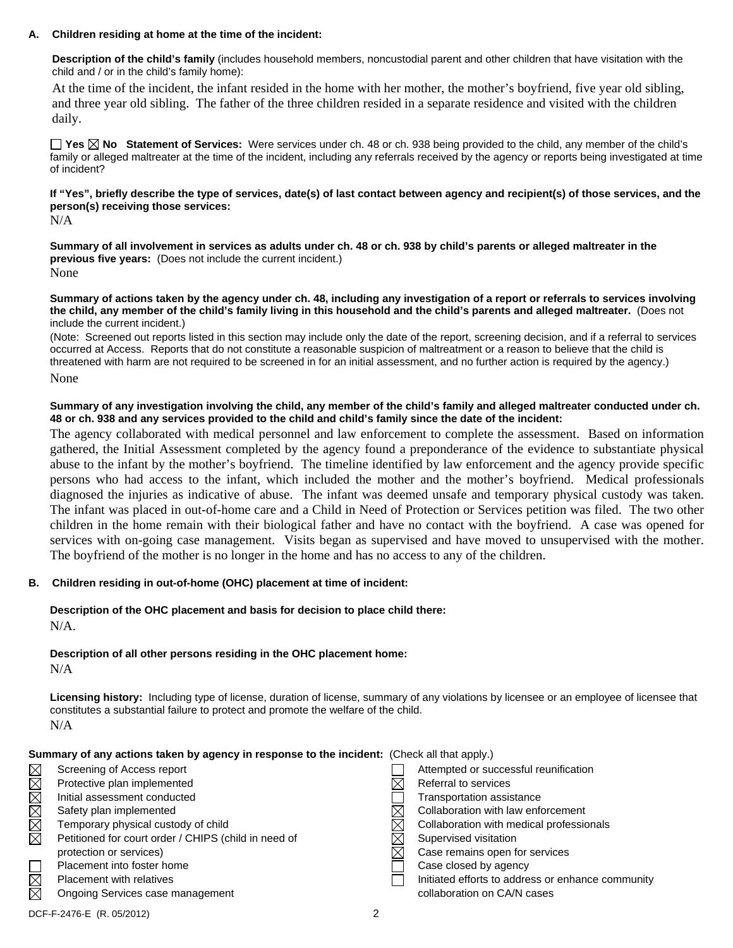#### **A. Children residing at home at the time of the incident:**

**Description of the child's family** (includes household members, noncustodial parent and other children that have visitation with the child and / or in the child's family home):

 At the time of the incident, the infant resided in the home with her mother, the mother's boyfriend, five year old sibling, and three year old sibling. The father of the three children resided in a separate residence and visited with the children daily.

**Yes No Statement of Services:** Were services under ch. 48 or ch. 938 being provided to the child, any member of the child's family or alleged maltreater at the time of the incident, including any referrals received by the agency or reports being investigated at time of incident?

## **If "Yes", briefly describe the type of services, date(s) of last contact between agency and recipient(s) of those services, and the person(s) receiving those services:**

N/A

**Summary of all involvement in services as adults under ch. 48 or ch. 938 by child's parents or alleged maltreater in the previous five years:** (Does not include the current incident.) None

**Summary of actions taken by the agency under ch. 48, including any investigation of a report or referrals to services involving the child, any member of the child's family living in this household and the child's parents and alleged maltreater.** (Does not include the current incident.)

(Note: Screened out reports listed in this section may include only the date of the report, screening decision, and if a referral to services occurred at Access. Reports that do not constitute a reasonable suspicion of maltreatment or a reason to believe that the child is threatened with harm are not required to be screened in for an initial assessment, and no further action is required by the agency.) None

#### **Summary of any investigation involving the child, any member of the child's family and alleged maltreater conducted under ch. 48 or ch. 938 and any services provided to the child and child's family since the date of the incident:**

The agency collaborated with medical personnel and law enforcement to complete the assessment. Based on information gathered, the Initial Assessment completed by the agency found a preponderance of the evidence to substantiate physical abuse to the infant by the mother's boyfriend. The timeline identified by law enforcement and the agency provide specific persons who had access to the infant, which included the mother and the mother's boyfriend. Medical professionals diagnosed the injuries as indicative of abuse. The infant was deemed unsafe and temporary physical custody was taken. The infant was placed in out-of-home care and a Child in Need of Protection or Services petition was filed. The two other children in the home remain with their biological father and have no contact with the boyfriend. A case was opened for services with on-going case management. Visits began as supervised and have moved to unsupervised with the mother. The boyfriend of the mother is no longer in the home and has no access to any of the children.

## **B. Children residing in out-of-home (OHC) placement at time of incident:**

# **Description of the OHC placement and basis for decision to place child there:**

N/A.

## **Description of all other persons residing in the OHC placement home:**

N/A

**Licensing history:** Including type of license, duration of license, summary of any violations by licensee or an employee of licensee that constitutes a substantial failure to protect and promote the welfare of the child. N/A

| Summary of any actions taken by agency in response to the incident: (Check all that apply.) |                                                      |  |                                                   |  |  |  |
|---------------------------------------------------------------------------------------------|------------------------------------------------------|--|---------------------------------------------------|--|--|--|
|                                                                                             | Screening of Access report                           |  | Attempted or successful reunification             |  |  |  |
| XMMMMM                                                                                      | Protective plan implemented                          |  | Referral to services                              |  |  |  |
|                                                                                             | Initial assessment conducted                         |  | Transportation assistance                         |  |  |  |
|                                                                                             | Safety plan implemented                              |  | Collaboration with law enforcement                |  |  |  |
|                                                                                             | Temporary physical custody of child                  |  | Collaboration with medical professionals          |  |  |  |
|                                                                                             | Petitioned for court order / CHIPS (child in need of |  | Supervised visitation                             |  |  |  |
|                                                                                             | protection or services)                              |  | Case remains open for services                    |  |  |  |
|                                                                                             | Placement into foster home                           |  | Case closed by agency                             |  |  |  |
| $\boxtimes$                                                                                 | <b>Placement with relatives</b>                      |  | Initiated efforts to address or enhance community |  |  |  |
| $\boxtimes$                                                                                 | Ongoing Services case management                     |  | collaboration on CA/N cases                       |  |  |  |